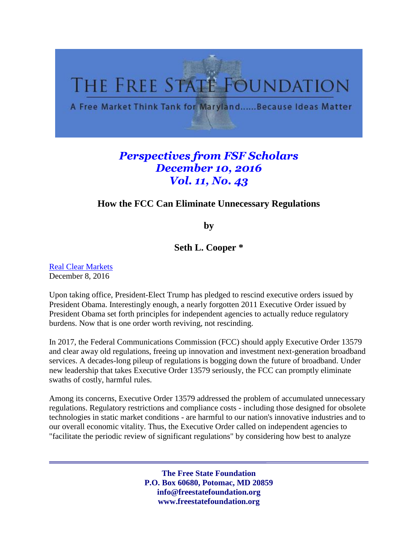

## *Perspectives from FSF Scholars December 10, 2016 Vol. 11, No. 43*

## **How the FCC Can Eliminate Unnecessary Regulations**

**by**

**Seth L. Cooper \***

[Real Clear Markets](http://www.realclearmarkets.com/articles/2016/12/08/how_the_fcc_can_eliminate_unnecessary_regulations_102456.html) December 8, 2016

Upon taking office, President-Elect Trump has pledged to rescind executive orders issued by President Obama. Interestingly enough, a nearly forgotten 2011 Executive Order issued by President Obama set forth principles for independent agencies to actually reduce regulatory burdens. Now that is one order worth reviving, not rescinding.

In 2017, the Federal Communications Commission (FCC) should apply Executive Order 13579 and clear away old regulations, freeing up innovation and investment next-generation broadband services. A decades-long pileup of regulations is bogging down the future of broadband. Under new leadership that takes Executive Order 13579 seriously, the FCC can promptly eliminate swaths of costly, harmful rules.

Among its concerns, Executive Order 13579 addressed the problem of accumulated unnecessary regulations. Regulatory restrictions and compliance costs - including those designed for obsolete technologies in static market conditions - are harmful to our nation's innovative industries and to our overall economic vitality. Thus, the Executive Order called on independent agencies to "facilitate the periodic review of significant regulations" by considering how best to analyze

> **The Free State Foundation P.O. Box 60680, Potomac, MD 20859 info@freestatefoundation.org www.freestatefoundation.org**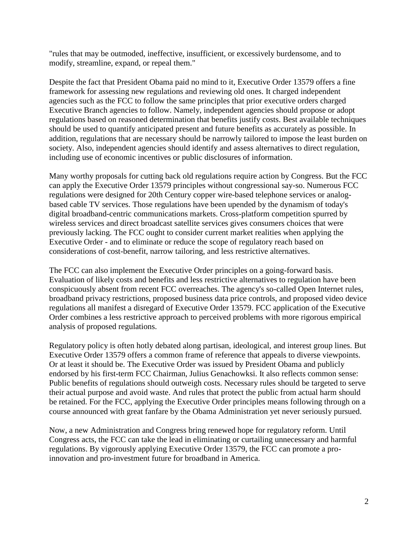"rules that may be outmoded, ineffective, insufficient, or excessively burdensome, and to modify, streamline, expand, or repeal them."

Despite the fact that President Obama paid no mind to it, Executive Order 13579 offers a fine framework for assessing new regulations and reviewing old ones. It charged independent agencies such as the FCC to follow the same principles that prior executive orders charged Executive Branch agencies to follow. Namely, independent agencies should propose or adopt regulations based on reasoned determination that benefits justify costs. Best available techniques should be used to quantify anticipated present and future benefits as accurately as possible. In addition, regulations that are necessary should be narrowly tailored to impose the least burden on society. Also, independent agencies should identify and assess alternatives to direct regulation, including use of economic incentives or public disclosures of information.

Many worthy proposals for cutting back old regulations require action by Congress. But the FCC can apply the Executive Order 13579 principles without congressional say-so. Numerous FCC regulations were designed for 20th Century copper wire-based telephone services or analogbased cable TV services. Those regulations have been upended by the dynamism of today's digital broadband-centric communications markets. Cross-platform competition spurred by wireless services and direct broadcast satellite services gives consumers choices that were previously lacking. The FCC ought to consider current market realities when applying the Executive Order - and to eliminate or reduce the scope of regulatory reach based on considerations of cost-benefit, narrow tailoring, and less restrictive alternatives.

The FCC can also implement the Executive Order principles on a going-forward basis. Evaluation of likely costs and benefits and less restrictive alternatives to regulation have been conspicuously absent from recent FCC overreaches. The agency's so-called Open Internet rules, broadband privacy restrictions, proposed business data price controls, and proposed video device regulations all manifest a disregard of Executive Order 13579. FCC application of the Executive Order combines a less restrictive approach to perceived problems with more rigorous empirical analysis of proposed regulations.

Regulatory policy is often hotly debated along partisan, ideological, and interest group lines. But Executive Order 13579 offers a common frame of reference that appeals to diverse viewpoints. Or at least it should be. The Executive Order was issued by President Obama and publicly endorsed by his first-term FCC Chairman, Julius Genachowksi. It also reflects common sense: Public benefits of regulations should outweigh costs. Necessary rules should be targeted to serve their actual purpose and avoid waste. And rules that protect the public from actual harm should be retained. For the FCC, applying the Executive Order principles means following through on a course announced with great fanfare by the Obama Administration yet never seriously pursued.

Now, a new Administration and Congress bring renewed hope for regulatory reform. Until Congress acts, the FCC can take the lead in eliminating or curtailing unnecessary and harmful regulations. By vigorously applying Executive Order 13579, the FCC can promote a proinnovation and pro-investment future for broadband in America.